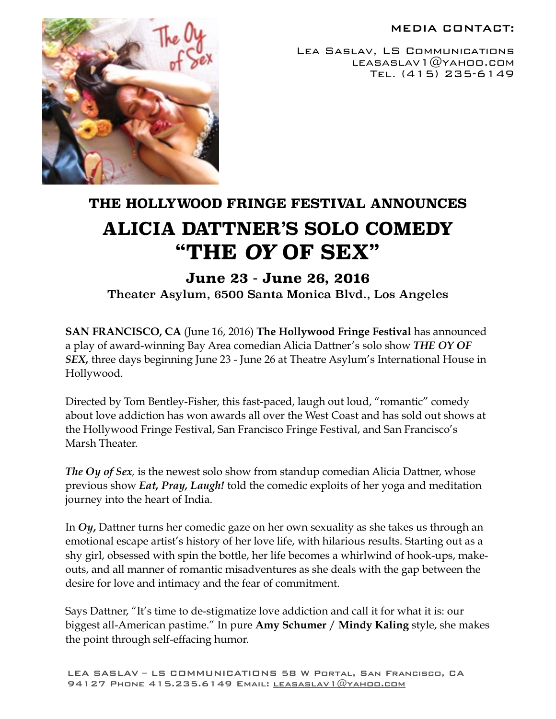### MEDIA CONTACT:



Lea Saslav, LS Communications LEASASLAV $1@$ YAHOO.COM Tel. (415) 235-6149

# **THE HOLLYWOOD FRINGE FESTIVAL ANNOUNCES ALICIA DATTNER'S SOLO COMEDY "THE** *OY* **OF SEX"**

# **June 23 - June 26, 2016**

Theater Asylum, 6500 Santa Monica Blvd., Los Angeles

**SAN FRANCISCO, CA** (June 16, 2016) **The Hollywood Fringe Festival** has announced a play of award-winning Bay Area comedian Alicia Dattner's solo show *THE OY OF SEX,* three days beginning June 23 - June 26 at Theatre Asylum's International House in Hollywood.

Directed by Tom Bentley-Fisher, this fast-paced, laugh out loud, "romantic" comedy about love addiction has won awards all over the West Coast and has sold out shows at the Hollywood Fringe Festival, San Francisco Fringe Festival, and San Francisco's Marsh Theater.

*The Oy of Sex,* is the newest solo show from standup comedian Alicia Dattner, whose previous show *Eat, Pray, Laugh!* told the comedic exploits of her yoga and meditation journey into the heart of India.

In *Oy***,** Dattner turns her comedic gaze on her own sexuality as she takes us through an emotional escape artist's history of her love life, with hilarious results. Starting out as a shy girl, obsessed with spin the bottle, her life becomes a whirlwind of hook-ups, makeouts, and all manner of romantic misadventures as she deals with the gap between the desire for love and intimacy and the fear of commitment.

Says Dattner, "It's time to de-stigmatize love addiction and call it for what it is: our biggest all-American pastime." In pure **Amy Schumer** / **Mindy Kaling** style, she makes the point through self-effacing humor.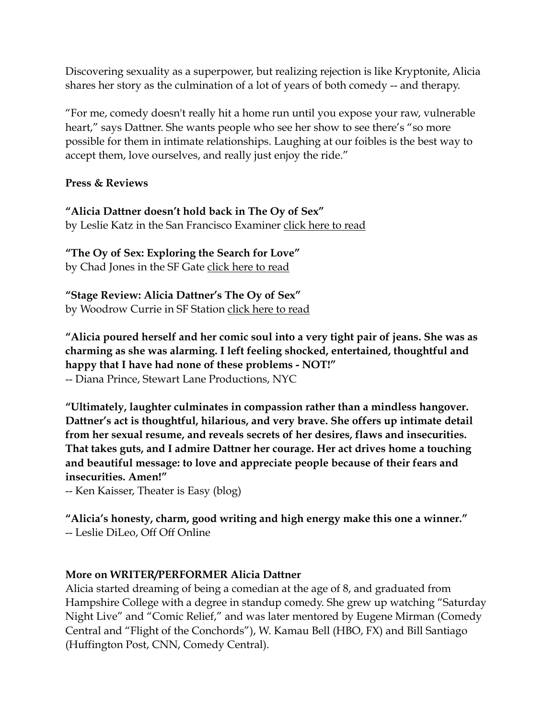Discovering sexuality as a superpower, but realizing rejection is like Kryptonite, Alicia shares her story as the culmination of a lot of years of both comedy -- and therapy.

"For me, comedy doesn't really hit a home run until you expose your raw, vulnerable heart," says Dattner. She wants people who see her show to see there's "so more possible for them in intimate relationships. Laughing at our foibles is the best way to accept them, love ourselves, and really just enjoy the ride."

**Press & Reviews**

**"Alicia Dattner doesn't hold back in The Oy of Sex"**  by Leslie Katz in the San Francisco Examiner [click here to read](http://archives.sfexaminer.com/sanfrancisco/alicia-dattner-doesnt-hold-back-in-oy-of-sex/Content?oid=2647583)

**"The Oy of Sex: Exploring the Search for Love"**  by Chad Jones in the SF Gate [click here to read](http://www.sfgate.com/performance/article/The-Oy-of-Sex-Exploring-the-search-for-love-5092633.php)

**"Stage Review: Alicia Dattner's The Oy of Sex"**  by Woodrow Currie in SF Station [click here to read](http://www.sfstation.com/2013/12/13/stage-review-the-oy-of-sex-the-marsh-alicia-dattner/)

**"Alicia poured herself and her comic soul into a very tight pair of jeans. She was as charming as she was alarming. I left feeling shocked, entertained, thoughtful and happy that I have had none of these problems - NOT!"**  -- Diana Prince, Stewart Lane Productions, NYC

**"Ultimately, laughter culminates in compassion rather than a mindless hangover. Dattner's act is thoughtful, hilarious, and very brave. She offers up intimate detail from her sexual resume, and reveals secrets of her desires, flaws and insecurities. That takes guts, and I admire Dattner her courage. Her act drives home a touching and beautiful message: to love and appreciate people because of their fears and insecurities. Amen!"**

-- Ken Kaisser, Theater is Easy (blog)

**"Alicia's honesty, charm, good writing and high energy make this one a winner."**  -- Leslie DiLeo, Off Off Online

# **More on WRITER/PERFORMER Alicia Dattner**

Alicia started dreaming of being a comedian at the age of 8, and graduated from Hampshire College with a degree in standup comedy. She grew up watching "Saturday Night Live" and "Comic Relief," and was later mentored by Eugene Mirman (Comedy Central and "Flight of the Conchords"), W. Kamau Bell (HBO, FX) and Bill Santiago (Huffington Post, CNN, Comedy Central).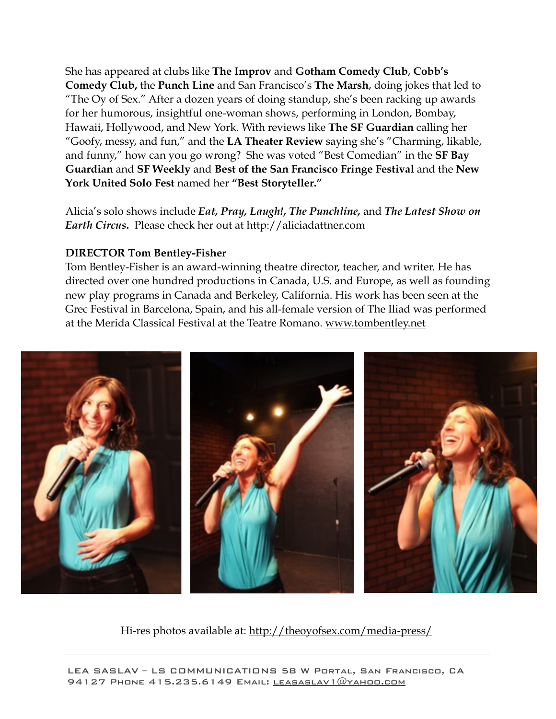She has appeared at clubs like **The Improv** and **Gotham Comedy Club**, **Cobb's Comedy Club,** the **Punch Line** and San Francisco's **The Marsh**, doing jokes that led to "The Oy of Sex." After a dozen years of doing standup, she's been racking up awards for her humorous, insightful one-woman shows, performing in London, Bombay, Hawaii, Hollywood, and New York. With reviews like **The SF Guardian** calling her "Goofy, messy, and fun," and the **LA Theater Review** saying she's "Charming, likable, and funny," how can you go wrong? She was voted "Best Comedian" in the **SF Bay Guardian** and **SF Weekly** and **Best of the San Francisco Fringe Festival** and the **New York United Solo Fest** named her **"Best Storyteller."**

Alicia's solo shows include *Eat, Pray, Laugh!, The Punchline,* and *The Latest Show on Earth Circus***.** Please check her out at http://aliciadattner.com

## **DIRECTOR Tom Bentley-Fisher**

Tom Bentley-Fisher is an award-winning theatre director, teacher, and writer. He has directed over one hundred productions in Canada, U.S. and Europe, as well as founding new play programs in Canada and Berkeley, California. His work has been seen at the Grec Festival in Barcelona, Spain, and his all-female version of The Iliad was performed at the Merida Classical Festival at the Teatre Romano. [www.tombentley.net](http://www.tombentley.net)



Hi-res photos available at:<http://theoyofsex.com/media-press/>